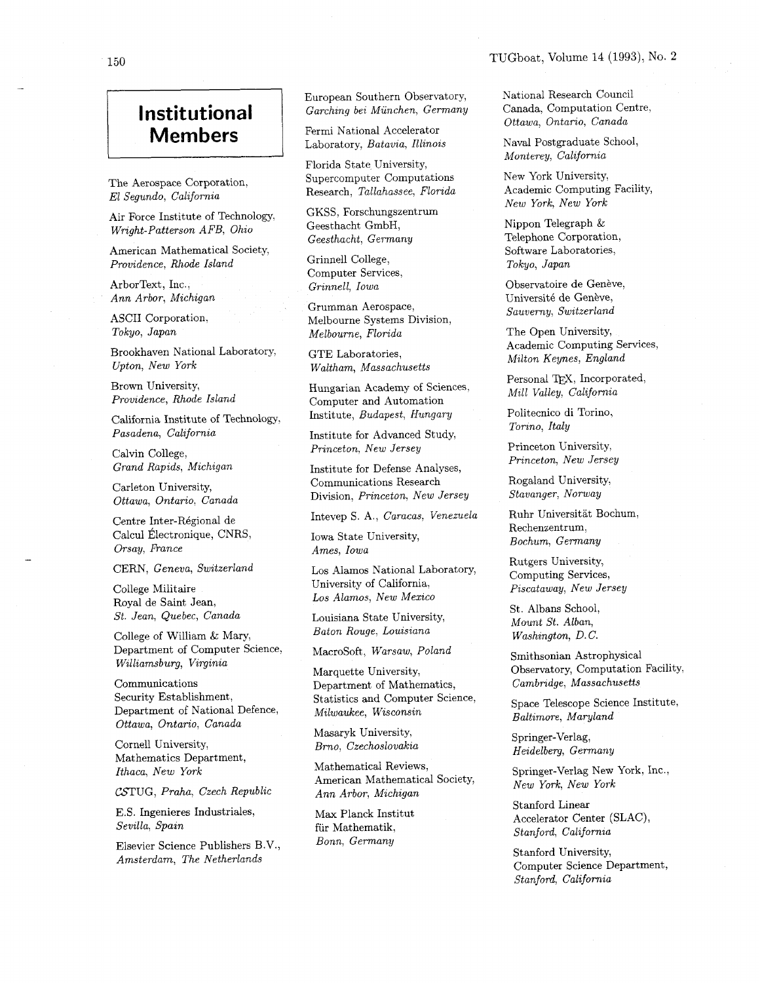## **Institutional Members**

The Aerospace Corporation, El Segundo, California

Air Force Institute of Technology, Wright-Patterson AFB, Ohio

American Mathematical Society, Providence, Rhode Island

ArborText, Inc., Ann Arbor, Michigan

ASCII Corporation, Tokyo, Japan

Brookhaven National Laboratory, Upton, New York

Brown University, Providence, Rhode Island

California Institute of Technology, Pasadena, California

Calvin College, Grand Rapids, Michigan

Carleton University, Ottawa, Ontario, Canada

Centre Inter-R6gional de Calcul Électronique, CNRS, Orsay, France

CERN, Geneva, Switzerland

College Militaire Royal de Saint Jean, St. Jean, Quebec, Canada

College of William & Mary, Department of Computer Science, Williamsburg, Virginia

Communications Security Establishment, Department of National Defence, Ottawa, Ontario, Canada

Cornell University, Mathematics Department, Ithaca, New York

CSTUG, Praha, Czech Republic

E.S. Ingenieres Industriales, Sevilla, Spain

Elsevier Science Publishers B.V., Amsterdam, The Netherlands

European Southern Observatory, Garching bei Munchen, Germany

Fermi National Accelerator Laboratory, Batavia, Illinois

Florida State University, Supercomputer Computations Research, Tallahassee, Florida

GKSS, Forschungszentrum Geesthacht GmbH, Geesthacht, Germany

Grinnell College, Computer Services, Grinnell, Iowa

Grumman Aerospace, Melbourne Systems Division, Melbourne, Florida

GTE Laboratories, Waltham, Massachusetts

Hungarian Academy of Sciences, Computer and Automation Institute, Budapest, Hungary

Institute for Advanced Study, Princeton, New Jersey

Institute for Defense Analyses, Communications Research Division, Princeton, New Jersey

Intevep S. A,, Caracas, Venezuela

Iowa State University, Ames, Iowa

Los Alamos National Laboratory, University of California, Los Alamos, New Mexico

Louisiana State University, Baton Rouge, Louisiana

Macrosoft, Warsaw, Poland

Marquette University, Department of Mathematics, Statistics and Computer Science, Milwaukee, Wisconsin

Masaryk University, Brno, Czechoslovakia

Mathematical Reviews, American Mathematical Society, Ann Arbor, Michigan

Max Planck Institut fiir Mathematik, Bonn, Germany

National Research Council Canada, Computation Centre. Ottawa, Ontario, Canada

Naval Postgraduate School, Monterey, California

New York University, Academic Computing Facility, New York, New York

Nippon Telegraph & Telephone Corporation, Software Laboratories, Tokyo, Japan

Observatoire de Genève, Université de Genève, Sauverny, Switzerland

The Open University, Academic Computing Services, Milton Keynes, England

Personal TEX, Incorporated, Mill Valley, California

Politecnico di Torino, Torino, Italy

Princeton University, Princeton, New Jersey

Rogaland University, Stavanger, Norway

Ruhr Universitat Bochum, Rechenzentrum, Bochum, Germany

Rutgers University, Computing Services, Piscataway, New Jersey

St. Albans School, Mount St. Alban, Washington, D.C.

Smithsonian Astrophysical Observatory, Computation Facility, Cambridge, Massachusetts

Space Telescope Science Institute, Baltimore, Maryland

Springer-Verlag, Heidelberg, Germany

Springer-Verlag New York, Inc., New York, New York

Stanford Linear Accelerator Center (SLAC), Stanford, California

Stanford University, Computer Science Department, Stanford, California